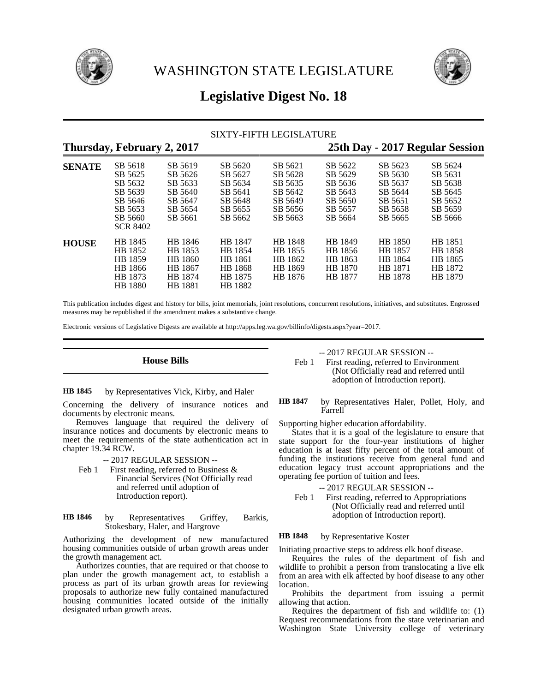



# **Legislative Digest No. 18**

# SIXTY-FIFTH LEGISLATURE

# **Thursday, February 2, 2017 25th Day - 2017 Regular Session**

| $  \sim$ $  \sim$<br>$- -  , - -$ |                                                                                              |                                                                           |                                                                           |                                                                           |                                                                           | -ອ-                                                                       |                                                                           |  |
|-----------------------------------|----------------------------------------------------------------------------------------------|---------------------------------------------------------------------------|---------------------------------------------------------------------------|---------------------------------------------------------------------------|---------------------------------------------------------------------------|---------------------------------------------------------------------------|---------------------------------------------------------------------------|--|
| <b>SENATE</b>                     | SB 5618<br>SB 5625<br>SB 5632<br>SB 5639<br>SB 5646<br>SB 5653<br>SB 5660<br><b>SCR 8402</b> | SB 5619<br>SB 5626<br>SB 5633<br>SB 5640<br>SB 5647<br>SB 5654<br>SB 5661 | SB 5620<br>SB 5627<br>SB 5634<br>SB 5641<br>SB 5648<br>SB 5655<br>SB 5662 | SB 5621<br>SB 5628<br>SB 5635<br>SB 5642<br>SB 5649<br>SB 5656<br>SB 5663 | SB 5622<br>SB 5629<br>SB 5636<br>SB 5643<br>SB 5650<br>SB 5657<br>SB 5664 | SB 5623<br>SB 5630<br>SB 5637<br>SB 5644<br>SB 5651<br>SB 5658<br>SB 5665 | SB 5624<br>SB 5631<br>SB 5638<br>SB 5645<br>SB 5652<br>SB 5659<br>SB 5666 |  |
| <b>HOUSE</b>                      | HB 1845<br>HB 1852<br>HB 1859<br>HB 1866<br>HB 1873<br>HB 1880                               | HB 1846<br>HB 1853<br>HB 1860<br>HB 1867<br>HB 1874<br><b>HB</b> 1881     | HB 1847<br>HB 1854<br>HB 1861<br>HB 1868<br>HB 1875<br>HB 1882            | HB 1848<br>HB 1855<br>HB 1862<br>HB 1869<br>HB 1876                       | HB 1849<br>HB 1856<br>HB 1863<br>HB 1870<br>HB 1877                       | HB 1850<br>HB 1857<br>HB 1864<br>HB 1871<br>HB 1878                       | HB 1851<br>HB 1858<br>HB 1865<br>HB 1872<br>HB 1879                       |  |

This publication includes digest and history for bills, joint memorials, joint resolutions, concurrent resolutions, initiatives, and substitutes. Engrossed measures may be republished if the amendment makes a substantive change.

Electronic versions of Legislative Digests are available at http://apps.leg.wa.gov/billinfo/digests.aspx?year=2017.

**House Bills**

by Representatives Vick, Kirby, and Haler **HB 1845**

Concerning the delivery of insurance notices and documents by electronic means.

Removes language that required the delivery of insurance notices and documents by electronic means to meet the requirements of the state authentication act in chapter 19.34 RCW.

-- 2017 REGULAR SESSION --

Feb 1 First reading, referred to Business & Financial Services (Not Officially read and referred until adoption of Introduction report).

by Representatives Griffey, Barkis, Stokesbary, Haler, and Hargrove **HB 1846**

Authorizing the development of new manufactured housing communities outside of urban growth areas under the growth management act.

Authorizes counties, that are required or that choose to plan under the growth management act, to establish a process as part of its urban growth areas for reviewing proposals to authorize new fully contained manufactured housing communities located outside of the initially designated urban growth areas.

-- 2017 REGULAR SESSION --

Feb 1 First reading, referred to Environment (Not Officially read and referred until adoption of Introduction report).

by Representatives Haler, Pollet, Holy, and Farrell **HB 1847**

Supporting higher education affordability.

States that it is a goal of the legislature to ensure that state support for the four-year institutions of higher education is at least fifty percent of the total amount of funding the institutions receive from general fund and education legacy trust account appropriations and the operating fee portion of tuition and fees.

- -- 2017 REGULAR SESSION --
- Feb 1 First reading, referred to Appropriations (Not Officially read and referred until adoption of Introduction report).

#### by Representative Koster **HB 1848**

Initiating proactive steps to address elk hoof disease.

Requires the rules of the department of fish and wildlife to prohibit a person from translocating a live elk from an area with elk affected by hoof disease to any other location.

Prohibits the department from issuing a permit allowing that action.

Requires the department of fish and wildlife to: (1) Request recommendations from the state veterinarian and Washington State University college of veterinary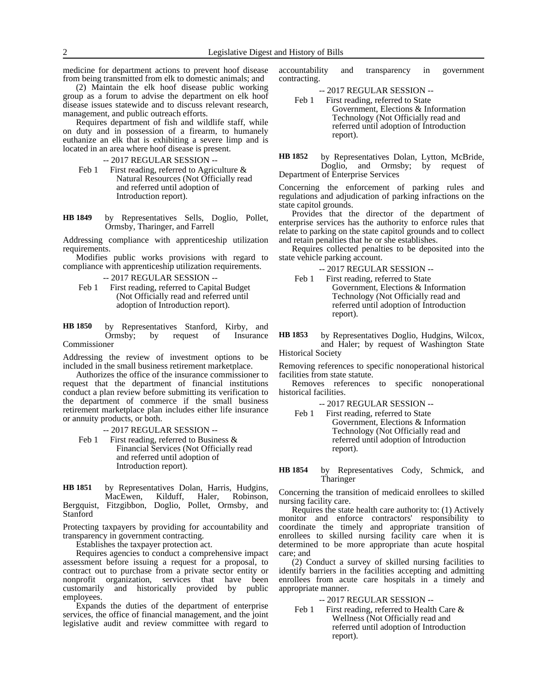medicine for department actions to prevent hoof disease from being transmitted from elk to domestic animals; and

(2) Maintain the elk hoof disease public working group as a forum to advise the department on elk hoof disease issues statewide and to discuss relevant research, management, and public outreach efforts.

Requires department of fish and wildlife staff, while on duty and in possession of a firearm, to humanely euthanize an elk that is exhibiting a severe limp and is located in an area where hoof disease is present.

-- 2017 REGULAR SESSION --

- Feb 1 First reading, referred to Agriculture  $\&$ Natural Resources (Not Officially read and referred until adoption of Introduction report).
- by Representatives Sells, Doglio, Pollet, Ormsby, Tharinger, and Farrell **HB 1849**

Addressing compliance with apprenticeship utilization requirements.

Modifies public works provisions with regard to compliance with apprenticeship utilization requirements.

-- 2017 REGULAR SESSION --

Feb 1 First reading, referred to Capital Budget (Not Officially read and referred until adoption of Introduction report).

by Representatives Stanford, Kirby, and Ormsby; by request of Insurance Commissioner **HB 1850**

Addressing the review of investment options to be included in the small business retirement marketplace.

Authorizes the office of the insurance commissioner to request that the department of financial institutions conduct a plan review before submitting its verification to the department of commerce if the small business retirement marketplace plan includes either life insurance or annuity products, or both.

-- 2017 REGULAR SESSION --

Feb 1 First reading, referred to Business  $\&$ Financial Services (Not Officially read and referred until adoption of Introduction report).

by Representatives Dolan, Harris, Hudgins,<br>MacEwen, Kilduff, Haler, Robinson, Kilduff, Haler, Bergquist, Fitzgibbon, Doglio, Pollet, Ormsby, and Stanford **HB 1851**

Protecting taxpayers by providing for accountability and transparency in government contracting.

Establishes the taxpayer protection act.

Requires agencies to conduct a comprehensive impact assessment before issuing a request for a proposal, to contract out to purchase from a private sector entity or nonprofit organization, services that have been customarily and historically provided by public employees.

Expands the duties of the department of enterprise services, the office of financial management, and the joint legislative audit and review committee with regard to accountability and transparency in government contracting.

-- 2017 REGULAR SESSION --

- Feb 1 First reading, referred to State Government, Elections & Information Technology (Not Officially read and referred until adoption of Introduction report).
- by Representatives Dolan, Lytton, McBride, Doglio, and Ormsby; by request of Department of Enterprise Services **HB 1852**

Concerning the enforcement of parking rules and regulations and adjudication of parking infractions on the state capitol grounds.

Provides that the director of the department of enterprise services has the authority to enforce rules that relate to parking on the state capitol grounds and to collect and retain penalties that he or she establishes.

Requires collected penalties to be deposited into the state vehicle parking account.

- -- 2017 REGULAR SESSION --
- Feb 1 First reading, referred to State Government, Elections & Information Technology (Not Officially read and referred until adoption of Introduction report).

by Representatives Doglio, Hudgins, Wilcox, and Haler; by request of Washington State Historical Society **HB 1853**

Removing references to specific nonoperational historical facilities from state statute.

Removes references to specific nonoperational historical facilities.

- -- 2017 REGULAR SESSION --
- Feb 1 First reading, referred to State Government, Elections & Information Technology (Not Officially read and referred until adoption of Introduction report).

by Representatives Cody, Schmick, and Tharinger **HB 1854**

Concerning the transition of medicaid enrollees to skilled nursing facility care.

Requires the state health care authority to: (1) Actively monitor and enforce contractors' responsibility to coordinate the timely and appropriate transition of enrollees to skilled nursing facility care when it is determined to be more appropriate than acute hospital care; and

(2) Conduct a survey of skilled nursing facilities to identify barriers in the facilities accepting and admitting enrollees from acute care hospitals in a timely and appropriate manner.

-- 2017 REGULAR SESSION --

Feb 1 First reading, referred to Health Care & Wellness (Not Officially read and referred until adoption of Introduction report).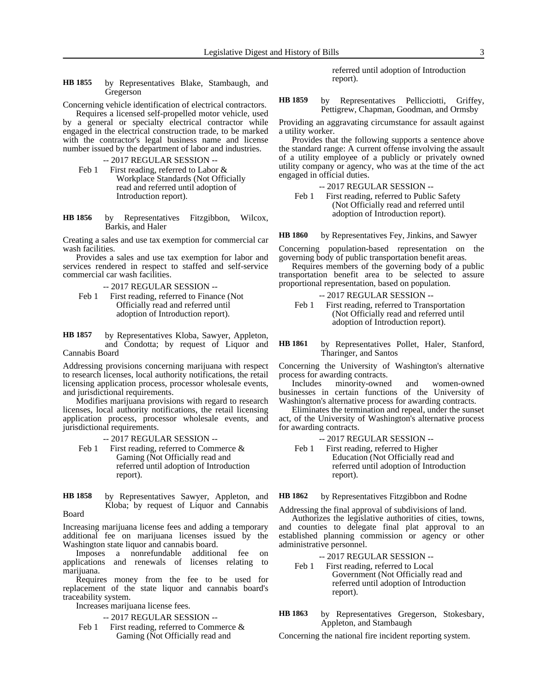- by Representatives Blake, Stambaugh, and Gregerson **HB 1855**
- Concerning vehicle identification of electrical contractors.

Requires a licensed self-propelled motor vehicle, used by a general or specialty electrical contractor while engaged in the electrical construction trade, to be marked with the contractor's legal business name and license number issued by the department of labor and industries.

-- 2017 REGULAR SESSION --

- Feb 1 First reading, referred to Labor & Workplace Standards (Not Officially read and referred until adoption of Introduction report).
- by Representatives Fitzgibbon, Wilcox, Barkis, and Haler **HB 1856**

Creating a sales and use tax exemption for commercial car wash facilities.

Provides a sales and use tax exemption for labor and services rendered in respect to staffed and self-service commercial car wash facilities.

-- 2017 REGULAR SESSION --

Feb 1 First reading, referred to Finance (Not Officially read and referred until adoption of Introduction report).

by Representatives Kloba, Sawyer, Appleton, and Condotta; by request of Liquor and Cannabis Board **HB 1857**

Addressing provisions concerning marijuana with respect to research licenses, local authority notifications, the retail licensing application process, processor wholesale events, and jurisdictional requirements.

Modifies marijuana provisions with regard to research licenses, local authority notifications, the retail licensing application process, processor wholesale events, and jurisdictional requirements.

-- 2017 REGULAR SESSION --

Feb 1 First reading, referred to Commerce & Gaming (Not Officially read and referred until adoption of Introduction report).

by Representatives Sawyer, Appleton, and Kloba; by request of Liquor and Cannabis Board **HB 1858**

Increasing marijuana license fees and adding a temporary additional fee on marijuana licenses issued by the Washington state liquor and cannabis board.

Imposes a nonrefundable additional fee on applications and renewals of licenses relating to marijuana.

Requires money from the fee to be used for replacement of the state liquor and cannabis board's traceability system.

Increases marijuana license fees.

- -- 2017 REGULAR SESSION --
- Feb 1 First reading, referred to Commerce & Gaming (Not Officially read and

referred until adoption of Introduction report).

by Representatives Pellicciotti, Griffey, Pettigrew, Chapman, Goodman, and Ormsby **HB 1859**

Providing an aggravating circumstance for assault against a utility worker.

Provides that the following supports a sentence above the standard range: A current offense involving the assault of a utility employee of a publicly or privately owned utility company or agency, who was at the time of the act engaged in official duties.

-- 2017 REGULAR SESSION --

Feb 1 First reading, referred to Public Safety (Not Officially read and referred until adoption of Introduction report).

by Representatives Fey, Jinkins, and Sawyer **HB 1860**

Concerning population-based representation on the governing body of public transportation benefit areas.

Requires members of the governing body of a public transportation benefit area to be selected to assure proportional representation, based on population.

-- 2017 REGULAR SESSION --

Feb 1 First reading, referred to Transportation (Not Officially read and referred until adoption of Introduction report).

by Representatives Pollet, Haler, Stanford, Tharinger, and Santos **HB 1861**

Concerning the University of Washington's alternative process for awarding contracts.

Includes minority-owned and women-owned businesses in certain functions of the University of Washington's alternative process for awarding contracts.

Eliminates the termination and repeal, under the sunset act, of the University of Washington's alternative process for awarding contracts.

- -- 2017 REGULAR SESSION --
- Feb 1 First reading, referred to Higher Education (Not Officially read and referred until adoption of Introduction report).

by Representatives Fitzgibbon and Rodne **HB 1862**

Addressing the final approval of subdivisions of land.

Authorizes the legislative authorities of cities, towns, and counties to delegate final plat approval to an established planning commission or agency or other administrative personnel.

- -- 2017 REGULAR SESSION --
- Feb 1 First reading, referred to Local Government (Not Officially read and referred until adoption of Introduction report).
- by Representatives Gregerson, Stokesbary, Appleton, and Stambaugh **HB 1863**

Concerning the national fire incident reporting system.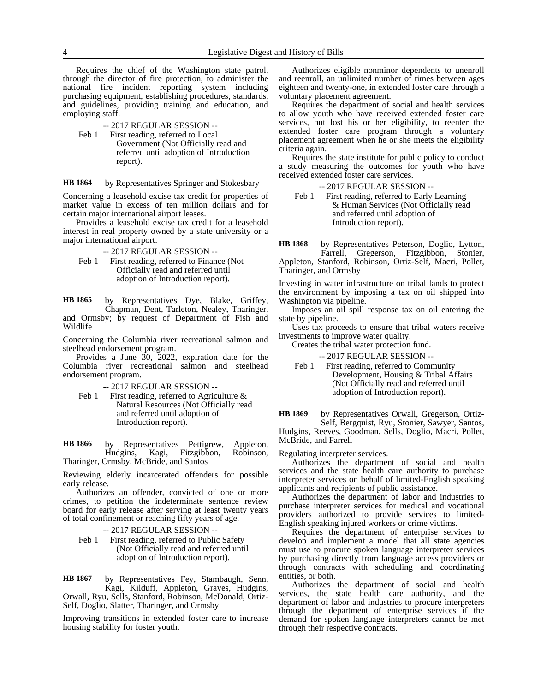Requires the chief of the Washington state patrol, through the director of fire protection, to administer the national fire incident reporting system including purchasing equipment, establishing procedures, standards, and guidelines, providing training and education, and employing staff.

- -- 2017 REGULAR SESSION --
- Feb 1 First reading, referred to Local Government (Not Officially read and referred until adoption of Introduction report).

by Representatives Springer and Stokesbary **HB 1864**

Concerning a leasehold excise tax credit for properties of market value in excess of ten million dollars and for certain major international airport leases.

Provides a leasehold excise tax credit for a leasehold interest in real property owned by a state university or a major international airport.

-- 2017 REGULAR SESSION --

Feb 1 First reading, referred to Finance (Not Officially read and referred until adoption of Introduction report).

by Representatives Dye, Blake, Griffey, Chapman, Dent, Tarleton, Nealey, Tharinger, **HB 1865**

and Ormsby; by request of Department of Fish and Wildlife

Concerning the Columbia river recreational salmon and steelhead endorsement program.

Provides a June 30, 2022, expiration date for the Columbia river recreational salmon and steelhead endorsement program.

- -- 2017 REGULAR SESSION --
- Feb 1 First reading, referred to Agriculture  $\&$ Natural Resources (Not Officially read and referred until adoption of Introduction report).

by Representatives Pettigrew, Appleton, Hudgins, Kagi, Fitzgibbon, Robinson, Tharinger, Ormsby, McBride, and Santos **HB 1866**

Reviewing elderly incarcerated offenders for possible early release.

Authorizes an offender, convicted of one or more crimes, to petition the indeterminate sentence review board for early release after serving at least twenty years of total confinement or reaching fifty years of age.

-- 2017 REGULAR SESSION --

Feb 1 First reading, referred to Public Safety (Not Officially read and referred until adoption of Introduction report).

by Representatives Fey, Stambaugh, Senn, Kagi, Kilduff, Appleton, Graves, Hudgins, **HB 1867**

Orwall, Ryu, Sells, Stanford, Robinson, McDonald, Ortiz-Self, Doglio, Slatter, Tharinger, and Ormsby

Improving transitions in extended foster care to increase housing stability for foster youth.

Authorizes eligible nonminor dependents to unenroll and reenroll, an unlimited number of times between ages eighteen and twenty-one, in extended foster care through a voluntary placement agreement.

Requires the department of social and health services to allow youth who have received extended foster care services, but lost his or her eligibility, to reenter the extended foster care program through a voluntary placement agreement when he or she meets the eligibility criteria again.

Requires the state institute for public policy to conduct a study measuring the outcomes for youth who have received extended foster care services.

-- 2017 REGULAR SESSION --

Feb 1 First reading, referred to Early Learning & Human Services (Not Officially read and referred until adoption of Introduction report).

by Representatives Peterson, Doglio, Lytton, Farrell, Gregerson, Fitzgibbon, Stonier, Appleton, Stanford, Robinson, Ortiz-Self, Macri, Pollet, Tharinger, and Ormsby **HB 1868**

Investing in water infrastructure on tribal lands to protect the environment by imposing a tax on oil shipped into Washington via pipeline.

Imposes an oil spill response tax on oil entering the state by pipeline.

Uses tax proceeds to ensure that tribal waters receive investments to improve water quality.

Creates the tribal water protection fund.

-- 2017 REGULAR SESSION --

Feb 1 First reading, referred to Community Development, Housing & Tribal Affairs (Not Officially read and referred until adoption of Introduction report).

by Representatives Orwall, Gregerson, Ortiz-Self, Bergquist, Ryu, Stonier, Sawyer, Santos, Hudgins, Reeves, Goodman, Sells, Doglio, Macri, Pollet, McBride, and Farrell **HB 1869**

Regulating interpreter services.

Authorizes the department of social and health services and the state health care authority to purchase interpreter services on behalf of limited-English speaking applicants and recipients of public assistance.

Authorizes the department of labor and industries to purchase interpreter services for medical and vocational providers authorized to provide services to limited-English speaking injured workers or crime victims.

Requires the department of enterprise services to develop and implement a model that all state agencies must use to procure spoken language interpreter services by purchasing directly from language access providers or through contracts with scheduling and coordinating entities, or both.

Authorizes the department of social and health services, the state health care authority, and the department of labor and industries to procure interpreters through the department of enterprise services if the demand for spoken language interpreters cannot be met through their respective contracts.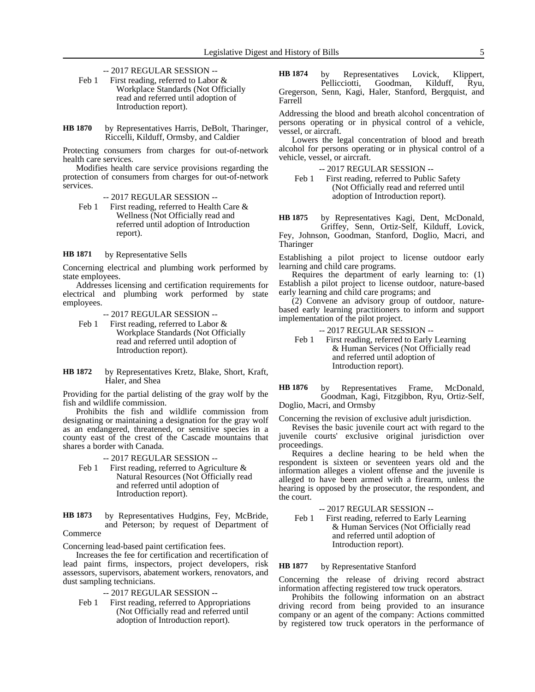-- 2017 REGULAR SESSION --

- Feb 1 First reading, referred to Labor & Workplace Standards (Not Officially read and referred until adoption of Introduction report).
- by Representatives Harris, DeBolt, Tharinger, Riccelli, Kilduff, Ormsby, and Caldier **HB 1870**

Protecting consumers from charges for out-of-network health care services.

Modifies health care service provisions regarding the protection of consumers from charges for out-of-network services.

- -- 2017 REGULAR SESSION --
- Feb 1 First reading, referred to Health Care & Wellness (Not Officially read and referred until adoption of Introduction report).

by Representative Sells **HB 1871**

Concerning electrical and plumbing work performed by state employees.

Addresses licensing and certification requirements for electrical and plumbing work performed by state employees.

-- 2017 REGULAR SESSION --

- Feb 1 First reading, referred to Labor & Workplace Standards (Not Officially read and referred until adoption of Introduction report).
- by Representatives Kretz, Blake, Short, Kraft, Haler, and Shea **HB 1872**

Providing for the partial delisting of the gray wolf by the fish and wildlife commission.

Prohibits the fish and wildlife commission from designating or maintaining a designation for the gray wolf as an endangered, threatened, or sensitive species in a county east of the crest of the Cascade mountains that shares a border with Canada.

-- 2017 REGULAR SESSION --

- Feb 1 First reading, referred to Agriculture  $\&$ Natural Resources (Not Officially read and referred until adoption of Introduction report).
- by Representatives Hudgins, Fey, McBride, and Peterson; by request of Department of **HB 1873**

# Commerce

Concerning lead-based paint certification fees.

Increases the fee for certification and recertification of lead paint firms, inspectors, project developers, risk assessors, supervisors, abatement workers, renovators, and dust sampling technicians.

-- 2017 REGULAR SESSION --

Feb 1 First reading, referred to Appropriations (Not Officially read and referred until adoption of Introduction report).

by Representatives Lovick, Klippert,<br>Pellicciotti, Goodman, Kilduff, Ryu, Goodman, Kilduff, Gregerson, Senn, Kagi, Haler, Stanford, Bergquist, and Farrell **HB 1874**

Addressing the blood and breath alcohol concentration of persons operating or in physical control of a vehicle, vessel, or aircraft.

Lowers the legal concentration of blood and breath alcohol for persons operating or in physical control of a vehicle, vessel, or aircraft.

-- 2017 REGULAR SESSION --

Feb 1 First reading, referred to Public Safety (Not Officially read and referred until adoption of Introduction report).

by Representatives Kagi, Dent, McDonald, Griffey, Senn, Ortiz-Self, Kilduff, Lovick, Fey, Johnson, Goodman, Stanford, Doglio, Macri, and **HB 1875**

**Tharinger** 

Establishing a pilot project to license outdoor early learning and child care programs.

Requires the department of early learning to: (1) Establish a pilot project to license outdoor, nature-based early learning and child care programs; and

(2) Convene an advisory group of outdoor, naturebased early learning practitioners to inform and support implementation of the pilot project.

-- 2017 REGULAR SESSION --

Feb 1 First reading, referred to Early Learning & Human Services (Not Officially read and referred until adoption of Introduction report).

by Representatives Frame, McDonald, Goodman, Kagi, Fitzgibbon, Ryu, Ortiz-Self, Doglio, Macri, and Ormsby **HB 1876**

Concerning the revision of exclusive adult jurisdiction.

Revises the basic juvenile court act with regard to the juvenile courts' exclusive original jurisdiction over proceedings.

Requires a decline hearing to be held when the respondent is sixteen or seventeen years old and the information alleges a violent offense and the juvenile is alleged to have been armed with a firearm, unless the hearing is opposed by the prosecutor, the respondent, and the court.

-- 2017 REGULAR SESSION --

Feb 1 First reading, referred to Early Learning & Human Services (Not Officially read and referred until adoption of Introduction report).

### by Representative Stanford **HB 1877**

Concerning the release of driving record abstract information affecting registered tow truck operators.

Prohibits the following information on an abstract driving record from being provided to an insurance company or an agent of the company: Actions committed by registered tow truck operators in the performance of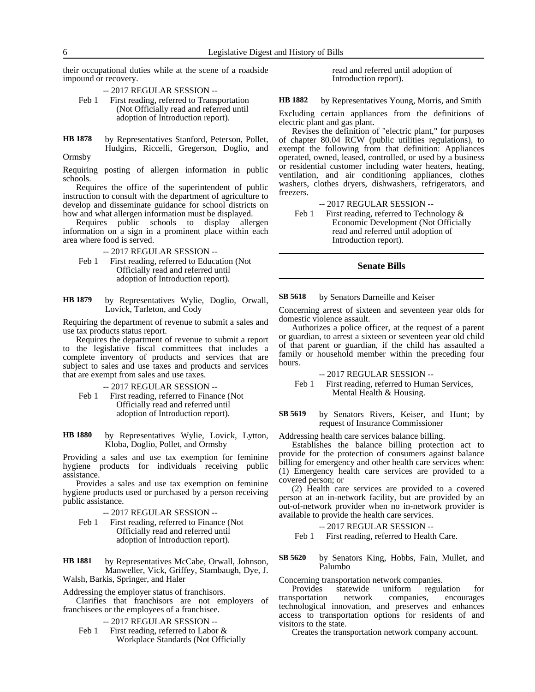their occupational duties while at the scene of a roadside impound or recovery.

-- 2017 REGULAR SESSION --

Feb 1 First reading, referred to Transportation (Not Officially read and referred until adoption of Introduction report).

by Representatives Stanford, Peterson, Pollet, Hudgins, Riccelli, Gregerson, Doglio, and **HB 1878**

Ormsby

Requiring posting of allergen information in public schools.

Requires the office of the superintendent of public instruction to consult with the department of agriculture to develop and disseminate guidance for school districts on how and what allergen information must be displayed.

Requires public schools to display allergen information on a sign in a prominent place within each area where food is served.

-- 2017 REGULAR SESSION --

- Feb 1 First reading, referred to Education (Not Officially read and referred until adoption of Introduction report).
- by Representatives Wylie, Doglio, Orwall, Lovick, Tarleton, and Cody **HB 1879**

Requiring the department of revenue to submit a sales and use tax products status report.

Requires the department of revenue to submit a report to the legislative fiscal committees that includes a complete inventory of products and services that are subject to sales and use taxes and products and services that are exempt from sales and use taxes.

-- 2017 REGULAR SESSION --

Feb 1 First reading, referred to Finance (Not Officially read and referred until adoption of Introduction report).

by Representatives Wylie, Lovick, Lytton, Kloba, Doglio, Pollet, and Ormsby **HB 1880**

Providing a sales and use tax exemption for feminine hygiene products for individuals receiving public assistance.

Provides a sales and use tax exemption on feminine hygiene products used or purchased by a person receiving public assistance.

- -- 2017 REGULAR SESSION --
- Feb 1 First reading, referred to Finance (Not Officially read and referred until adoption of Introduction report).

by Representatives McCabe, Orwall, Johnson, Manweller, Vick, Griffey, Stambaugh, Dye, J. Walsh, Barkis, Springer, and Haler **HB 1881**

Addressing the employer status of franchisors.

Clarifies that franchisors are not employers of franchisees or the employees of a franchisee.

-- 2017 REGULAR SESSION --

Feb 1 First reading, referred to Labor & Workplace Standards (Not Officially read and referred until adoption of Introduction report).

by Representatives Young, Morris, and Smith **HB 1882**

Excluding certain appliances from the definitions of electric plant and gas plant.

Revises the definition of "electric plant," for purposes of chapter 80.04 RCW (public utilities regulations), to exempt the following from that definition: Appliances operated, owned, leased, controlled, or used by a business or residential customer including water heaters, heating, ventilation, and air conditioning appliances, clothes washers, clothes dryers, dishwashers, refrigerators, and freezers.

-- 2017 REGULAR SESSION --

Feb 1 First reading, referred to Technology & Economic Development (Not Officially read and referred until adoption of Introduction report).

# **Senate Bills**

### by Senators Darneille and Keiser **SB 5618**

Concerning arrest of sixteen and seventeen year olds for domestic violence assault.

Authorizes a police officer, at the request of a parent or guardian, to arrest a sixteen or seventeen year old child of that parent or guardian, if the child has assaulted a family or household member within the preceding four hours.

### -- 2017 REGULAR SESSION --

Feb 1 First reading, referred to Human Services, Mental Health & Housing.

by Senators Rivers, Keiser, and Hunt; by request of Insurance Commissioner **SB 5619**

Addressing health care services balance billing.

Establishes the balance billing protection act to provide for the protection of consumers against balance billing for emergency and other health care services when: (1) Emergency health care services are provided to a covered person; or

(2) Health care services are provided to a covered person at an in-network facility, but are provided by an out-of-network provider when no in-network provider is available to provide the health care services.

### -- 2017 REGULAR SESSION --

Feb 1 First reading, referred to Health Care.

by Senators King, Hobbs, Fain, Mullet, and Palumbo **SB 5620**

Concerning transportation network companies.

Provides statewide uniform regulation for transportation network companies, encourages technological innovation, and preserves and enhances access to transportation options for residents of and visitors to the state.

Creates the transportation network company account.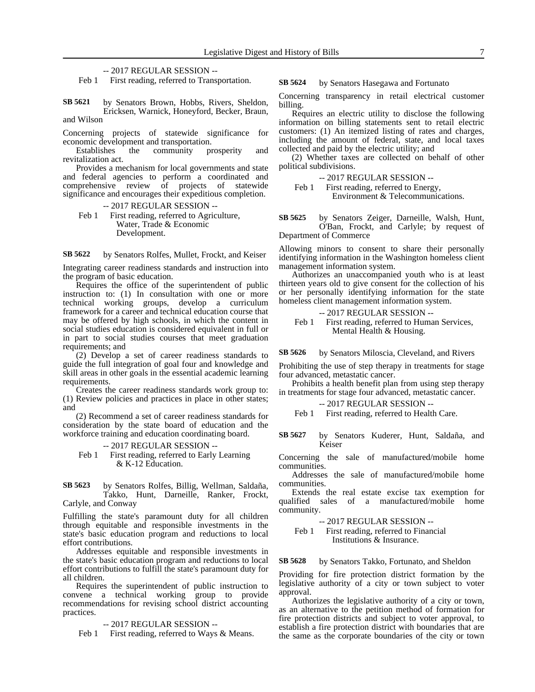-- 2017 REGULAR SESSION --

Feb 1 First reading, referred to Transportation.

by Senators Brown, Hobbs, Rivers, Sheldon, Ericksen, Warnick, Honeyford, Becker, Braun, and Wilson **SB 5621**

Concerning projects of statewide significance for economic development and transportation.

Establishes the community prosperity and revitalization act.

Provides a mechanism for local governments and state and federal agencies to perform a coordinated and comprehensive review of projects of statewide significance and encourages their expeditious completion.

-- 2017 REGULAR SESSION -- Feb 1 First reading, referred to Agriculture, Water, Trade & Economic Development.

by Senators Rolfes, Mullet, Frockt, and Keiser **SB 5622**

Integrating career readiness standards and instruction into the program of basic education.

Requires the office of the superintendent of public instruction to: (1) In consultation with one or more technical working groups, develop a curriculum framework for a career and technical education course that may be offered by high schools, in which the content in social studies education is considered equivalent in full or in part to social studies courses that meet graduation requirements; and

(2) Develop a set of career readiness standards to guide the full integration of goal four and knowledge and skill areas in other goals in the essential academic learning requirements.

Creates the career readiness standards work group to: (1) Review policies and practices in place in other states; and

(2) Recommend a set of career readiness standards for consideration by the state board of education and the workforce training and education coordinating board.

- -- 2017 REGULAR SESSION --
- Feb 1 First reading, referred to Early Learning & K-12 Education.

by Senators Rolfes, Billig, Wellman, Saldaña, Takko, Hunt, Darneille, Ranker, Frockt, Carlyle, and Conway **SB 5623**

Fulfilling the state's paramount duty for all children through equitable and responsible investments in the state's basic education program and reductions to local effort contributions.

Addresses equitable and responsible investments in the state's basic education program and reductions to local effort contributions to fulfill the state's paramount duty for all children.

Requires the superintendent of public instruction to convene a technical working group to provide recommendations for revising school district accounting practices.

-- 2017 REGULAR SESSION --

Feb 1 First reading, referred to Ways & Means.

by Senators Hasegawa and Fortunato **SB 5624**

Concerning transparency in retail electrical customer billing.

Requires an electric utility to disclose the following information on billing statements sent to retail electric customers: (1) An itemized listing of rates and charges, including the amount of federal, state, and local taxes collected and paid by the electric utility; and

(2) Whether taxes are collected on behalf of other political subdivisions.

-- 2017 REGULAR SESSION -- Feb 1 First reading, referred to Energy,

Environment & Telecommunications.

by Senators Zeiger, Darneille, Walsh, Hunt, O'Ban, Frockt, and Carlyle; by request of Department of Commerce **SB 5625**

Allowing minors to consent to share their personally identifying information in the Washington homeless client management information system.

Authorizes an unaccompanied youth who is at least thirteen years old to give consent for the collection of his or her personally identifying information for the state homeless client management information system.

-- 2017 REGULAR SESSION -- Feb 1 First reading, referred to Human Services, Mental Health & Housing.

by Senators Miloscia, Cleveland, and Rivers **SB 5626**

Prohibiting the use of step therapy in treatments for stage four advanced, metastatic cancer.

Prohibits a health benefit plan from using step therapy in treatments for stage four advanced, metastatic cancer.

-- 2017 REGULAR SESSION --

Feb 1 First reading, referred to Health Care.

by Senators Kuderer, Hunt, Saldaña, and Keiser **SB 5627**

Concerning the sale of manufactured/mobile home communities.

Addresses the sale of manufactured/mobile home communities.

Extends the real estate excise tax exemption for qualified sales of a manufactured/mobile home community.

-- 2017 REGULAR SESSION --

Feb 1 First reading, referred to Financial Institutions & Insurance.

by Senators Takko, Fortunato, and Sheldon **SB 5628**

Providing for fire protection district formation by the legislative authority of a city or town subject to voter approval.

Authorizes the legislative authority of a city or town, as an alternative to the petition method of formation for fire protection districts and subject to voter approval, to establish a fire protection district with boundaries that are the same as the corporate boundaries of the city or town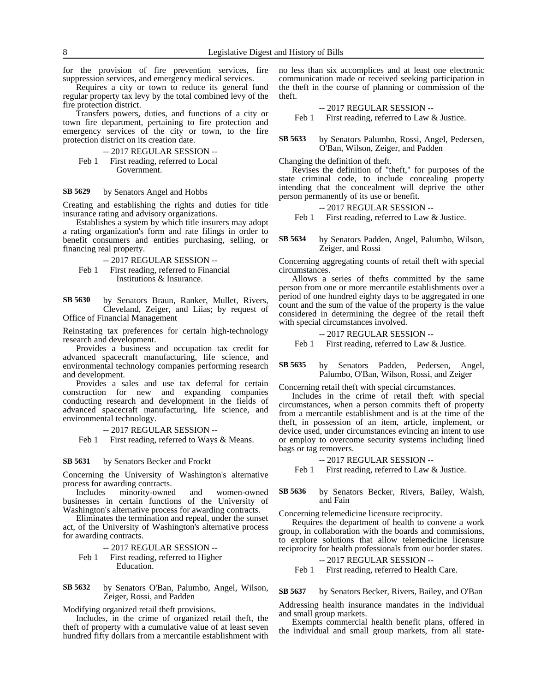for the provision of fire prevention services, fire suppression services, and emergency medical services.

Requires a city or town to reduce its general fund regular property tax levy by the total combined levy of the fire protection district.

Transfers powers, duties, and functions of a city or town fire department, pertaining to fire protection and emergency services of the city or town, to the fire protection district on its creation date.

-- 2017 REGULAR SESSION -- Feb 1 First reading, referred to Local Government.

### by Senators Angel and Hobbs **SB 5629**

Creating and establishing the rights and duties for title insurance rating and advisory organizations.

Establishes a system by which title insurers may adopt a rating organization's form and rate filings in order to benefit consumers and entities purchasing, selling, or financing real property.

-- 2017 REGULAR SESSION --

Feb 1 First reading, referred to Financial Institutions & Insurance.

by Senators Braun, Ranker, Mullet, Rivers, Cleveland, Zeiger, and Liias; by request of Office of Financial Management **SB 5630**

Reinstating tax preferences for certain high-technology research and development.

Provides a business and occupation tax credit for advanced spacecraft manufacturing, life science, and environmental technology companies performing research and development.

Provides a sales and use tax deferral for certain construction for new and expanding companies conducting research and development in the fields of advanced spacecraft manufacturing, life science, and environmental technology.

-- 2017 REGULAR SESSION --

Feb 1 First reading, referred to Ways & Means.

#### by Senators Becker and Frockt **SB 5631**

Concerning the University of Washington's alternative process for awarding contracts.

Includes minority-owned and women-owned businesses in certain functions of the University of Washington's alternative process for awarding contracts.

Eliminates the termination and repeal, under the sunset act, of the University of Washington's alternative process for awarding contracts.

-- 2017 REGULAR SESSION --

Feb 1 First reading, referred to Higher Education.

by Senators O'Ban, Palumbo, Angel, Wilson, Zeiger, Rossi, and Padden **SB 5632**

Modifying organized retail theft provisions.

Includes, in the crime of organized retail theft, the theft of property with a cumulative value of at least seven hundred fifty dollars from a mercantile establishment with

no less than six accomplices and at least one electronic communication made or received seeking participation in the theft in the course of planning or commission of the theft.

-- 2017 REGULAR SESSION --

Feb 1 First reading, referred to Law & Justice.

by Senators Palumbo, Rossi, Angel, Pedersen, O'Ban, Wilson, Zeiger, and Padden **SB 5633**

Changing the definition of theft.

Revises the definition of "theft," for purposes of the state criminal code, to include concealing property intending that the concealment will deprive the other person permanently of its use or benefit.

-- 2017 REGULAR SESSION --

Feb 1 First reading, referred to Law & Justice.

by Senators Padden, Angel, Palumbo, Wilson, Zeiger, and Rossi **SB 5634**

Concerning aggregating counts of retail theft with special circumstances.

Allows a series of thefts committed by the same person from one or more mercantile establishments over a period of one hundred eighty days to be aggregated in one count and the sum of the value of the property is the value considered in determining the degree of the retail theft with special circumstances involved.

-- 2017 REGULAR SESSION --

Feb 1 First reading, referred to Law & Justice.

by Senators Padden, Pedersen, Angel, Palumbo, O'Ban, Wilson, Rossi, and Zeiger **SB 5635**

Concerning retail theft with special circumstances.

Includes in the crime of retail theft with special circumstances, when a person commits theft of property from a mercantile establishment and is at the time of the theft, in possession of an item, article, implement, or device used, under circumstances evincing an intent to use or employ to overcome security systems including lined bags or tag removers.

### -- 2017 REGULAR SESSION --

Feb 1 First reading, referred to Law & Justice.

### by Senators Becker, Rivers, Bailey, Walsh, and Fain **SB 5636**

Concerning telemedicine licensure reciprocity.

Requires the department of health to convene a work group, in collaboration with the boards and commissions, to explore solutions that allow telemedicine licensure reciprocity for health professionals from our border states.

-- 2017 REGULAR SESSION --

Feb 1 First reading, referred to Health Care.

#### by Senators Becker, Rivers, Bailey, and O'Ban **SB 5637**

Addressing health insurance mandates in the individual and small group markets.

Exempts commercial health benefit plans, offered in the individual and small group markets, from all state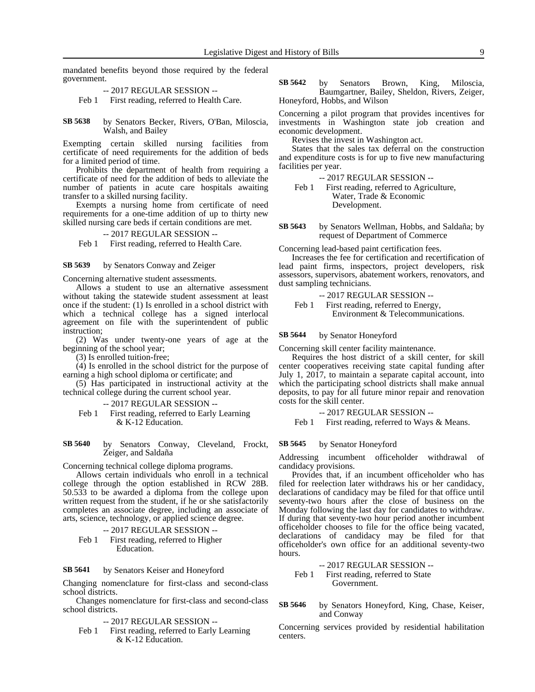mandated benefits beyond those required by the federal government.

-- 2017 REGULAR SESSION --

Feb 1 First reading, referred to Health Care.

by Senators Becker, Rivers, O'Ban, Miloscia, Walsh, and Bailey **SB 5638**

Exempting certain skilled nursing facilities from certificate of need requirements for the addition of beds for a limited period of time.

Prohibits the department of health from requiring a certificate of need for the addition of beds to alleviate the number of patients in acute care hospitals awaiting transfer to a skilled nursing facility.

Exempts a nursing home from certificate of need requirements for a one-time addition of up to thirty new skilled nursing care beds if certain conditions are met.

### -- 2017 REGULAR SESSION --

Feb 1 First reading, referred to Health Care.

### by Senators Conway and Zeiger **SB 5639**

Concerning alternative student assessments.

Allows a student to use an alternative assessment without taking the statewide student assessment at least once if the student: (1) Is enrolled in a school district with which a technical college has a signed interlocal agreement on file with the superintendent of public instruction;

(2) Was under twenty-one years of age at the beginning of the school year;

(3) Is enrolled tuition-free;

(4) Is enrolled in the school district for the purpose of earning a high school diploma or certificate; and

(5) Has participated in instructional activity at the technical college during the current school year.

-- 2017 REGULAR SESSION --

Feb 1 First reading, referred to Early Learning & K-12 Education.

by Senators Conway, Cleveland, Frockt, Zeiger, and Saldaña **SB 5640**

Concerning technical college diploma programs.

Allows certain individuals who enroll in a technical college through the option established in RCW 28B. 50.533 to be awarded a diploma from the college upon written request from the student, if he or she satisfactorily completes an associate degree, including an associate of arts, science, technology, or applied science degree.

-- 2017 REGULAR SESSION --

Feb 1 First reading, referred to Higher Education.

by Senators Keiser and Honeyford **SB 5641**

Changing nomenclature for first-class and second-class school districts.

Changes nomenclature for first-class and second-class school districts.

-- 2017 REGULAR SESSION --

Feb 1 First reading, referred to Early Learning & K-12 Education.

by Senators Brown, King, Miloscia, Baumgartner, Bailey, Sheldon, Rivers, Zeiger, Honeyford, Hobbs, and Wilson **SB 5642**

Concerning a pilot program that provides incentives for investments in Washington state job creation and economic development.

Revises the invest in Washington act.

States that the sales tax deferral on the construction and expenditure costs is for up to five new manufacturing facilities per year.

-- 2017 REGULAR SESSION --

Feb 1 First reading, referred to Agriculture, Water, Trade & Economic Development.

by Senators Wellman, Hobbs, and Saldaña; by request of Department of Commerce **SB 5643**

Concerning lead-based paint certification fees.

Increases the fee for certification and recertification of lead paint firms, inspectors, project developers, risk assessors, supervisors, abatement workers, renovators, and dust sampling technicians.

-- 2017 REGULAR SESSION --

Feb 1 First reading, referred to Energy, Environment & Telecommunications.

by Senator Honeyford **SB 5644**

Concerning skill center facility maintenance.

Requires the host district of a skill center, for skill center cooperatives receiving state capital funding after July 1, 2017, to maintain a separate capital account, into which the participating school districts shall make annual deposits, to pay for all future minor repair and renovation costs for the skill center.

-- 2017 REGULAR SESSION --

Feb 1 First reading, referred to Ways & Means.

#### by Senator Honeyford **SB 5645**

Addressing incumbent officeholder withdrawal of candidacy provisions.

Provides that, if an incumbent officeholder who has filed for reelection later withdraws his or her candidacy, declarations of candidacy may be filed for that office until seventy-two hours after the close of business on the Monday following the last day for candidates to withdraw. If during that seventy-two hour period another incumbent officeholder chooses to file for the office being vacated, declarations of candidacy may be filed for that officeholder's own office for an additional seventy-two hours.

-- 2017 REGULAR SESSION --

- Feb 1 First reading, referred to State Government.
- by Senators Honeyford, King, Chase, Keiser, and Conway **SB 5646**

Concerning services provided by residential habilitation centers.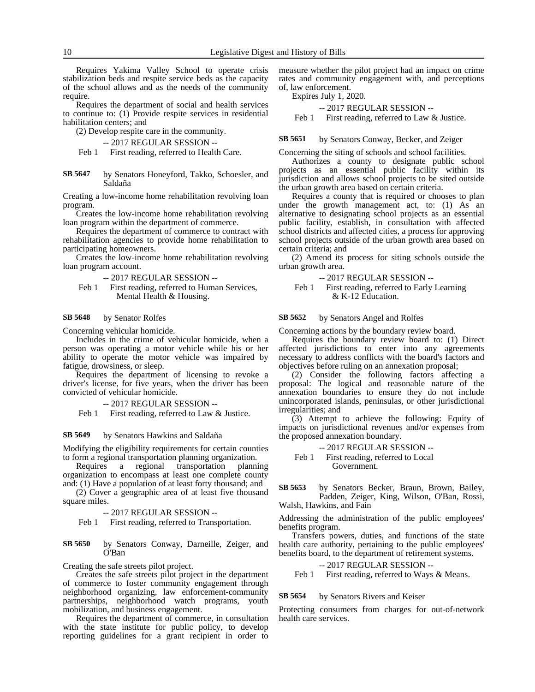Requires Yakima Valley School to operate crisis stabilization beds and respite service beds as the capacity of the school allows and as the needs of the community require.

Requires the department of social and health services to continue to: (1) Provide respite services in residential habilitation centers; and

(2) Develop respite care in the community.

```
-- 2017 REGULAR SESSION --
```
Feb 1 First reading, referred to Health Care.

by Senators Honeyford, Takko, Schoesler, and Saldaña **SB 5647**

Creating a low-income home rehabilitation revolving loan program.

Creates the low-income home rehabilitation revolving loan program within the department of commerce.

Requires the department of commerce to contract with rehabilitation agencies to provide home rehabilitation to participating homeowners.

Creates the low-income home rehabilitation revolving loan program account.

-- 2017 REGULAR SESSION --

Feb 1 First reading, referred to Human Services, Mental Health & Housing.

### by Senator Rolfes **SB 5648**

Concerning vehicular homicide.

Includes in the crime of vehicular homicide, when a person was operating a motor vehicle while his or her ability to operate the motor vehicle was impaired by fatigue, drowsiness, or sleep.

Requires the department of licensing to revoke a driver's license, for five years, when the driver has been convicted of vehicular homicide.

### -- 2017 REGULAR SESSION --

Feb 1 First reading, referred to Law & Justice.

#### by Senators Hawkins and Saldaña **SB 5649**

Modifying the eligibility requirements for certain counties to form a regional transportation planning organization.

Requires a regional transportation planning organization to encompass at least one complete county and: (1) Have a population of at least forty thousand; and

(2) Cover a geographic area of at least five thousand square miles.

-- 2017 REGULAR SESSION --

Feb 1 First reading, referred to Transportation.

### by Senators Conway, Darneille, Zeiger, and O'Ban **SB 5650**

Creating the safe streets pilot project.

Creates the safe streets pilot project in the department of commerce to foster community engagement through neighborhood organizing, law enforcement-community partnerships, neighborhood watch programs, youth mobilization, and business engagement.

Requires the department of commerce, in consultation with the state institute for public policy, to develop reporting guidelines for a grant recipient in order to

measure whether the pilot project had an impact on crime rates and community engagement with, and perceptions of, law enforcement.

Expires July 1, 2020.

-- 2017 REGULAR SESSION --

Feb 1 First reading, referred to Law & Justice.

by Senators Conway, Becker, and Zeiger **SB 5651**

Concerning the siting of schools and school facilities.

Authorizes a county to designate public school projects as an essential public facility within its jurisdiction and allows school projects to be sited outside the urban growth area based on certain criteria.

Requires a county that is required or chooses to plan under the growth management act, to: (1) As an alternative to designating school projects as an essential public facility, establish, in consultation with affected school districts and affected cities, a process for approving school projects outside of the urban growth area based on certain criteria; and

(2) Amend its process for siting schools outside the urban growth area.

-- 2017 REGULAR SESSION --

Feb 1 First reading, referred to Early Learning & K-12 Education.

### by Senators Angel and Rolfes **SB 5652**

Concerning actions by the boundary review board.

Requires the boundary review board to: (1) Direct affected jurisdictions to enter into any agreements necessary to address conflicts with the board's factors and objectives before ruling on an annexation proposal;

(2) Consider the following factors affecting a proposal: The logical and reasonable nature of the annexation boundaries to ensure they do not include unincorporated islands, peninsulas, or other jurisdictional irregularities; and

(3) Attempt to achieve the following: Equity of impacts on jurisdictional revenues and/or expenses from the proposed annexation boundary.

-- 2017 REGULAR SESSION -- Feb 1 First reading, referred to Local Government.

by Senators Becker, Braun, Brown, Bailey, Padden, Zeiger, King, Wilson, O'Ban, Rossi, Walsh, Hawkins, and Fain **SB 5653**

Addressing the administration of the public employees' benefits program.

Transfers powers, duties, and functions of the state health care authority, pertaining to the public employees' benefits board, to the department of retirement systems.

-- 2017 REGULAR SESSION -- Feb 1 First reading, referred to Ways & Means.

#### by Senators Rivers and Keiser **SB 5654**

Protecting consumers from charges for out-of-network health care services.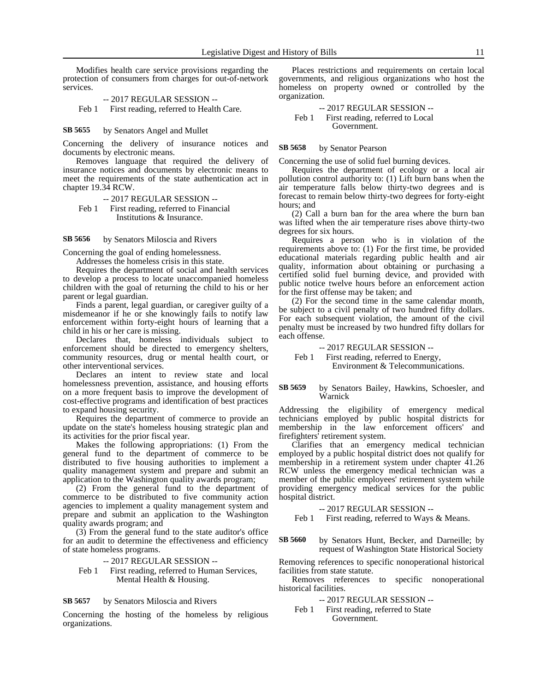Modifies health care service provisions regarding the protection of consumers from charges for out-of-network services.

-- 2017 REGULAR SESSION -- Feb 1 First reading, referred to Health Care.

by Senators Angel and Mullet **SB 5655**

Concerning the delivery of insurance notices and documents by electronic means.

Removes language that required the delivery of insurance notices and documents by electronic means to meet the requirements of the state authentication act in chapter 19.34 RCW.

-- 2017 REGULAR SESSION --

Feb 1 First reading, referred to Financial Institutions & Insurance.

by Senators Miloscia and Rivers **SB 5656**

Concerning the goal of ending homelessness.

Addresses the homeless crisis in this state.

Requires the department of social and health services to develop a process to locate unaccompanied homeless children with the goal of returning the child to his or her parent or legal guardian.

Finds a parent, legal guardian, or caregiver guilty of a misdemeanor if he or she knowingly fails to notify law enforcement within forty-eight hours of learning that a child in his or her care is missing.

Declares that, homeless individuals subject to enforcement should be directed to emergency shelters, community resources, drug or mental health court, or other interventional services.

Declares an intent to review state and local homelessness prevention, assistance, and housing efforts on a more frequent basis to improve the development of cost-effective programs and identification of best practices to expand housing security.

Requires the department of commerce to provide an update on the state's homeless housing strategic plan and its activities for the prior fiscal year.

Makes the following appropriations: (1) From the general fund to the department of commerce to be distributed to five housing authorities to implement a quality management system and prepare and submit an application to the Washington quality awards program;

(2) From the general fund to the department of commerce to be distributed to five community action agencies to implement a quality management system and prepare and submit an application to the Washington quality awards program; and

(3) From the general fund to the state auditor's office for an audit to determine the effectiveness and efficiency of state homeless programs.

-- 2017 REGULAR SESSION --

Feb 1 First reading, referred to Human Services, Mental Health & Housing.

### by Senators Miloscia and Rivers **SB 5657**

Concerning the hosting of the homeless by religious organizations.

Places restrictions and requirements on certain local governments, and religious organizations who host the homeless on property owned or controlled by the organization.

-- 2017 REGULAR SESSION -- Feb 1 First reading, referred to Local Government.

by Senator Pearson **SB 5658**

Concerning the use of solid fuel burning devices.

Requires the department of ecology or a local air pollution control authority to: (1) Lift burn bans when the air temperature falls below thirty-two degrees and is forecast to remain below thirty-two degrees for forty-eight hours; and

(2) Call a burn ban for the area where the burn ban was lifted when the air temperature rises above thirty-two degrees for six hours.

Requires a person who is in violation of the requirements above to: (1) For the first time, be provided educational materials regarding public health and air quality, information about obtaining or purchasing a certified solid fuel burning device, and provided with public notice twelve hours before an enforcement action for the first offense may be taken; and

(2) For the second time in the same calendar month, be subject to a civil penalty of two hundred fifty dollars. For each subsequent violation, the amount of the civil penalty must be increased by two hundred fifty dollars for each offense.

-- 2017 REGULAR SESSION --

Feb 1 First reading, referred to Energy, Environment & Telecommunications.

by Senators Bailey, Hawkins, Schoesler, and Warnick **SB 5659**

Addressing the eligibility of emergency medical technicians employed by public hospital districts for membership in the law enforcement officers' and firefighters' retirement system.

Clarifies that an emergency medical technician employed by a public hospital district does not qualify for membership in a retirement system under chapter 41.26 RCW unless the emergency medical technician was a member of the public employees' retirement system while providing emergency medical services for the public hospital district.

### -- 2017 REGULAR SESSION --

Feb 1 First reading, referred to Ways & Means.

by Senators Hunt, Becker, and Darneille; by request of Washington State Historical Society **SB 5660**

Removing references to specific nonoperational historical facilities from state statute.

Removes references to specific nonoperational historical facilities.

- -- 2017 REGULAR SESSION --
- Feb 1 First reading, referred to State Government.